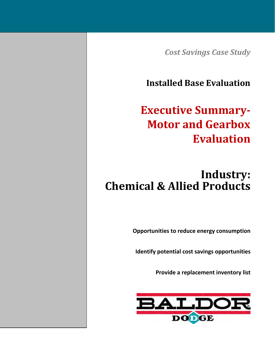*Cost Savings Case Study*

**Installed Base Evaluation**

# **Executive Summary‐ Motor and Gearbox Evaluation**

# **Industry: Chemical & Allied Products**

**Opportunities to reduce energy consumption**

**Identify potential cost savings opportunities**

**Provide a replacement inventory list**